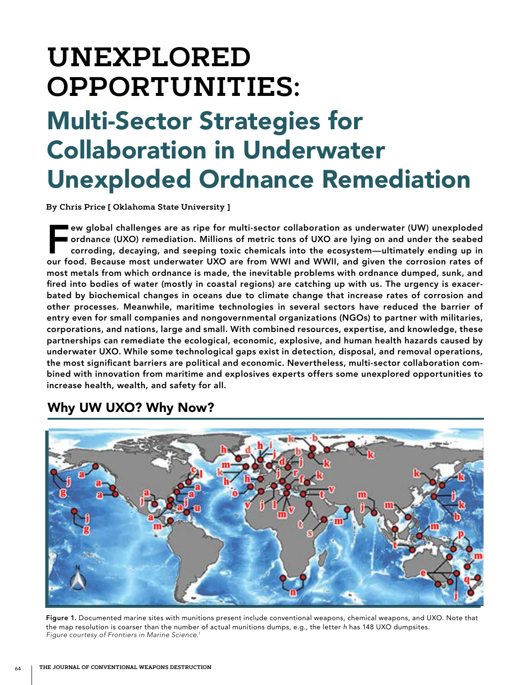# **UNEXPLORED OPPORTUNITIES:**

## Multi-Sector Strategies for Collaboration in Underwater Unexploded Ordnance Remediation

**By Chris Price [ Oklahoma State University ]**

Few global challenges are as ripe for multi-sector collaboration as underwater (UW) unexploded<br>ordnance (UXO) remediation. Millions of metric tons of UXO are lying on and under the seabed<br>corroding, decaying, and seeping t ordnance (UXO) remediation. Millions of metric tons of UXO are lying on and under the seabed corroding, decaying, and seeping toxic chemicals into the ecosystem—ultimately ending up in our food. Because most underwater UXO are from WWI and WWII, and given the corrosion rates of most metals from which ordnance is made, the inevitable problems with ordnance dumped, sunk, and fired into bodies of water (mostly in coastal regions) are catching up with us. The urgency is exacerbated by biochemical changes in oceans due to climate change that increase rates of corrosion and other processes. Meanwhile, maritime technologies in several sectors have reduced the barrier of entry even for small companies and nongovernmental organizations (NGOs) to partner with militaries, corporations, and nations, large and small. With combined resources, expertise, and knowledge, these partnerships can remediate the ecological, economic, explosive, and human health hazards caused by underwater UXO. While some technological gaps exist in detection, disposal, and removal operations, the most significant barriers are political and economic. Nevertheless, multi-sector collaboration combined with innovation from maritime and explosives experts offers some unexplored opportunities to increase health, wealth, and safety for all.



## Why UW UXO? Why Now?

Figure 1. Documented marine sites with munitions present include conventional weapons, chemical weapons, and UXO. Note that the map resolution is coarser than the number of actual munitions dumps, e.g., the letter *h* has 148 UXO dumpsites. *Figure courtesy of Frontiers in Marine Science.*<sup>1</sup>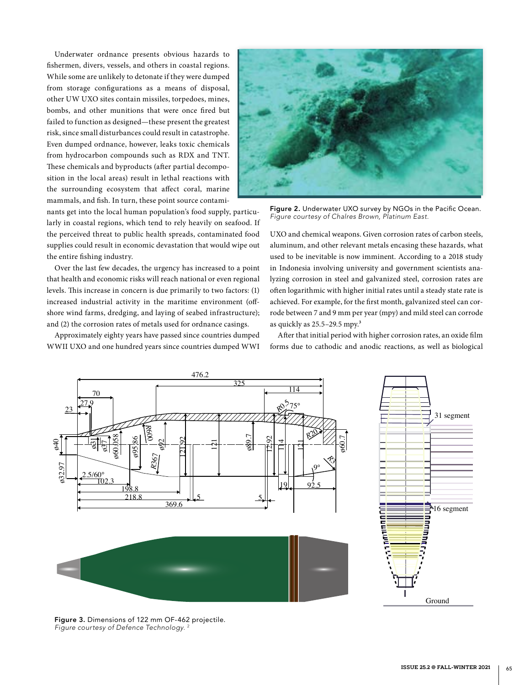Underwater ordnance presents obvious hazards to fishermen, divers, vessels, and others in coastal regions. While some are unlikely to detonate if they were dumped from storage configurations as a means of disposal, other UW UXO sites contain missiles, torpedoes, mines, bombs, and other munitions that were once fired but failed to function as designed—these present the greatest risk, since small disturbances could result in catastrophe. Even dumped ordnance, however, leaks toxic chemicals from hydrocarbon compounds such as RDX and TNT. These chemicals and byproducts (after partial decomposition in the local areas) result in lethal reactions with the surrounding ecosystem that affect coral, marine mammals, and fish. In turn, these point source contami-

nants get into the local human population's food supply, particularly in coastal regions, which tend to rely heavily on seafood. If the perceived threat to public health spreads, contaminated food supplies could result in economic devastation that would wipe out the entire fishing industry.

Over the last few decades, the urgency has increased to a point that health and economic risks will reach national or even regional levels. This increase in concern is due primarily to two factors: (1) increased industrial activity in the maritime environment (offshore wind farms, dredging, and laying of seabed infrastructure); and (2) the corrosion rates of metals used for ordnance casings.

Approximately eighty years have passed since countries dumped WWII UXO and one hundred years since countries dumped WWI



Figure 2. Underwater UXO survey by NGOs in the Pacific Ocean. *Figure courtesy of Chalres Brown, Platinum East.*

UXO and chemical weapons. Given corrosion rates of carbon steels, aluminum, and other relevant metals encasing these hazards, what used to be inevitable is now imminent. According to a 2018 study in Indonesia involving university and government scientists analyzing corrosion in steel and galvanized steel, corrosion rates are often logarithmic with higher initial rates until a steady state rate is achieved. For example, for the first month, galvanized steel can corrode between 7 and 9 mm per year (mpy) and mild steel can corrode as quickly as 25.5-29.5 mpy.<sup>3</sup>

After that initial period with higher corrosion rates, an oxide film forms due to cathodic and anodic reactions, as well as biological



Figure 3. Dimensions of 122 mm OF-462 projectile. **Figure courtesy of Defence Technology.**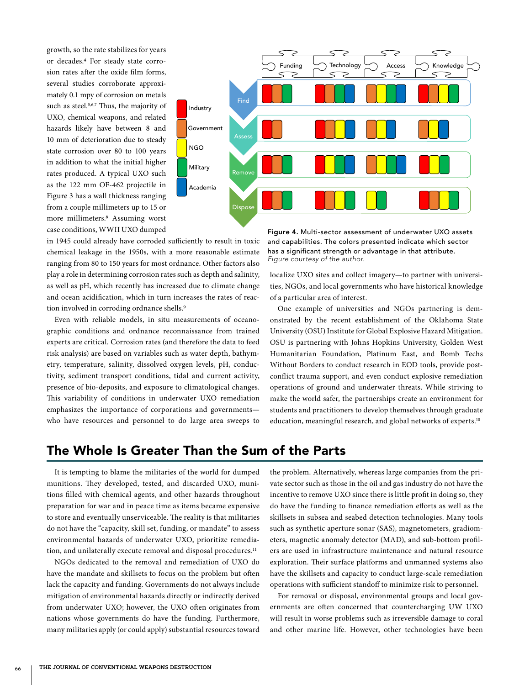growth, so the rate stabilizes for years or decades.4 For steady state corrosion rates after the oxide film forms, several studies corroborate approximately 0.1 mpy of corrosion on metals such as steel.<sup>5,6,7</sup> Thus, the majority of UXO, chemical weapons, and related hazards likely have between 8 and 10 mm of deterioration due to steady state corrosion over 80 to 100 years in addition to what the initial higher rates produced. A typical UXO such as the 122 mm OF-462 projectile in Figure 3 has a wall thickness ranging from a couple millimeters up to 15 or more millimeters.8 Assuming worst case conditions, WWII UXO dumped



in 1945 could already have corroded sufficiently to result in toxic chemical leakage in the 1950s, with a more reasonable estimate ranging from 80 to 150 years for most ordnance. Other factors also play a role in determining corrosion rates such as depth and salinity, as well as pH, which recently has increased due to climate change and ocean acidification, which in turn increases the rates of reaction involved in corroding ordnance shells.<sup>9</sup>

Even with reliable models, in situ measurements of oceanographic conditions and ordnance reconnaissance from trained experts are critical. Corrosion rates (and therefore the data to feed risk analysis) are based on variables such as water depth, bathymetry, temperature, salinity, dissolved oxygen levels, pH, conductivity, sediment transport conditions, tidal and current activity, presence of bio-deposits, and exposure to climatological changes. This variability of conditions in underwater UXO remediation emphasizes the importance of corporations and governments who have resources and personnel to do large area sweeps to

Figure 4. Multi-sector assessment of underwater UXO assets and capabilities. The colors presented indicate which sector has a significant strength or advantage in that attribute. *Figure courtesy of the author.*

localize UXO sites and collect imagery—to partner with universities, NGOs, and local governments who have historical knowledge of a particular area of interest.

One example of universities and NGOs partnering is demonstrated by the recent establishment of the Oklahoma State University (OSU) Institute for Global Explosive Hazard Mitigation. OSU is partnering with Johns Hopkins University, Golden West Humanitarian Foundation, Platinum East, and Bomb Techs Without Borders to conduct research in EOD tools, provide postconflict trauma support, and even conduct explosive remediation operations of ground and underwater threats. While striving to make the world safer, the partnerships create an environment for students and practitioners to develop themselves through graduate education, meaningful research, and global networks of experts.<sup>10</sup>

## The Whole Is Greater Than the Sum of the Parts

It is tempting to blame the militaries of the world for dumped munitions. They developed, tested, and discarded UXO, munitions filled with chemical agents, and other hazards throughout preparation for war and in peace time as items became expensive to store and eventually unserviceable. The reality is that militaries do not have the "capacity, skill set, funding, or mandate" to assess environmental hazards of underwater UXO, prioritize remediation, and unilaterally execute removal and disposal procedures.<sup>11</sup>

NGOs dedicated to the removal and remediation of UXO do have the mandate and skillsets to focus on the problem but often lack the capacity and funding. Governments do not always include mitigation of environmental hazards directly or indirectly derived from underwater UXO; however, the UXO often originates from nations whose governments do have the funding. Furthermore, many militaries apply (or could apply) substantial resources toward

the problem. Alternatively, whereas large companies from the private sector such as those in the oil and gas industry do not have the incentive to remove UXO since there is little profit in doing so, they do have the funding to finance remediation efforts as well as the skillsets in subsea and seabed detection technologies. Many tools such as synthetic aperture sonar (SAS), magnetometers, gradiometers, magnetic anomaly detector (MAD), and sub-bottom profilers are used in infrastructure maintenance and natural resource exploration. Their surface platforms and unmanned systems also have the skillsets and capacity to conduct large-scale remediation operations with sufficient standoff to minimize risk to personnel.

For removal or disposal, environmental groups and local governments are often concerned that countercharging UW UXO will result in worse problems such as irreversible damage to coral and other marine life. However, other technologies have been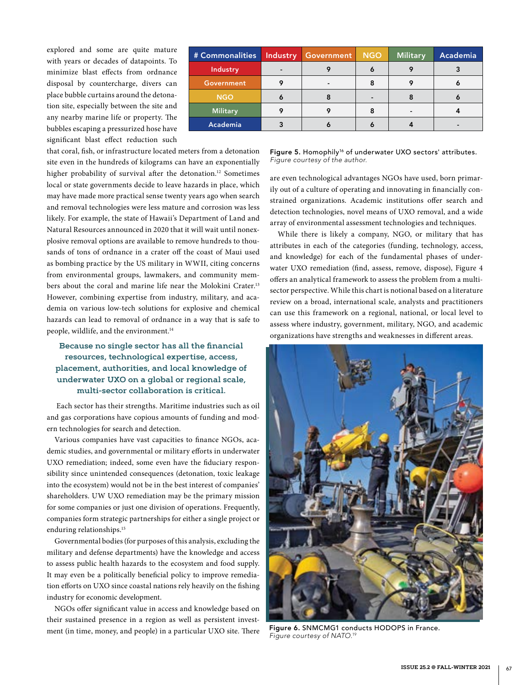explored and some are quite mature with years or decades of datapoints. To minimize blast effects from ordnance disposal by countercharge, divers can place bubble curtains around the detonation site, especially between the site and any nearby marine life or property. The bubbles escaping a pressurized hose have significant blast effect reduction such

| # Commonalities | <b>Industry</b> | Government | <b>NGO</b> | Military | Academia |
|-----------------|-----------------|------------|------------|----------|----------|
| Industry        |                 |            |            | 9        |          |
| Government      |                 |            | 8          | ο        |          |
| <b>NGO</b>      |                 |            |            |          |          |
| <b>Military</b> |                 |            |            | -        |          |
| Academia        |                 |            |            |          |          |

that coral, fish, or infrastructure located meters from a detonation site even in the hundreds of kilograms can have an exponentially higher probability of survival after the detonation.<sup>12</sup> Sometimes local or state governments decide to leave hazards in place, which may have made more practical sense twenty years ago when search and removal technologies were less mature and corrosion was less likely. For example, the state of Hawaii's Department of Land and Natural Resources announced in 2020 that it will wait until nonexplosive removal options are available to remove hundreds to thousands of tons of ordnance in a crater off the coast of Maui used as bombing practice by the US military in WWII, citing concerns from environmental groups, lawmakers, and community members about the coral and marine life near the Molokini Crater.13 However, combining expertise from industry, military, and academia on various low-tech solutions for explosive and chemical hazards can lead to removal of ordnance in a way that is safe to people, wildlife, and the environment.14

### **Because no single sector has all the financial resources, technological expertise, access, placement, authorities, and local knowledge of underwater UXO on a global or regional scale, multi-sector collaboration is critical.**

 Each sector has their strengths. Maritime industries such as oil and gas corporations have copious amounts of funding and modern technologies for search and detection.

Various companies have vast capacities to finance NGOs, academic studies, and governmental or military efforts in underwater UXO remediation; indeed, some even have the fiduciary responsibility since unintended consequences (detonation, toxic leakage into the ecosystem) would not be in the best interest of companies' shareholders. UW UXO remediation may be the primary mission for some companies or just one division of operations. Frequently, companies form strategic partnerships for either a single project or enduring relationships.<sup>15</sup>

Governmental bodies (for purposes of this analysis, excluding the military and defense departments) have the knowledge and access to assess public health hazards to the ecosystem and food supply. It may even be a politically beneficial policy to improve remediation efforts on UXO since coastal nations rely heavily on the fishing industry for economic development.

NGOs offer significant value in access and knowledge based on their sustained presence in a region as well as persistent investment (in time, money, and people) in a particular UXO site. There Figure 5. Homophily<sup>16</sup> of underwater UXO sectors' attributes. *Figure courtesy of the author.*

are even technological advantages NGOs have used, born primarily out of a culture of operating and innovating in financially constrained organizations. Academic institutions offer search and detection technologies, novel means of UXO removal, and a wide array of environmental assessment technologies and techniques.

While there is likely a company, NGO, or military that has attributes in each of the categories (funding, technology, access, and knowledge) for each of the fundamental phases of underwater UXO remediation (find, assess, remove, dispose), Figure 4 offers an analytical framework to assess the problem from a multisector perspective. While this chart is notional based on a literature review on a broad, international scale, analysts and practitioners can use this framework on a regional, national, or local level to assess where industry, government, military, NGO, and academic organizations have strengths and weaknesses in different areas.



Figure 6. SNMCMG1 conducts HODOPS in France. *Figure courtesy of NATO.*19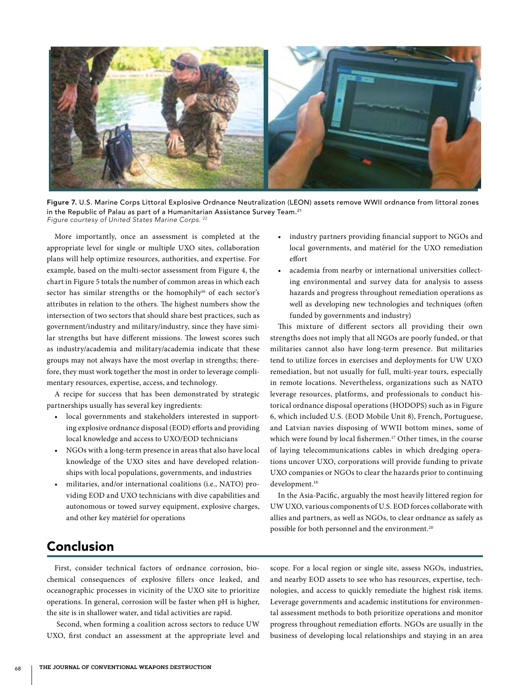

Figure 7. U.S. Marine Corps Littoral Explosive Ordnance Neutralization (LEON) assets remove WWII ordnance from littoral zones in the Republic of Palau as part of a Humanitarian Assistance Survey Team.<sup>21</sup> *Figure courtesy of United States Marine Corps.* <sup>22</sup>

More importantly, once an assessment is completed at the appropriate level for single or multiple UXO sites, collaboration plans will help optimize resources, authorities, and expertise. For example, based on the multi-sector assessment from Figure 4, the chart in Figure 5 totals the number of common areas in which each sector has similar strengths or the homophily<sup>16</sup> of each sector's attributes in relation to the others. The highest numbers show the intersection of two sectors that should share best practices, such as government/industry and military/industry, since they have similar strengths but have different missions. The lowest scores such as industry/academia and military/academia indicate that these groups may not always have the most overlap in strengths; therefore, they must work together the most in order to leverage complimentary resources, expertise, access, and technology.

A recipe for success that has been demonstrated by strategic partnerships usually has several key ingredients:

- local governments and stakeholders interested in supporting explosive ordnance disposal (EOD) efforts and providing local knowledge and access to UXO/EOD technicians
- NGOs with a long-term presence in areas that also have local knowledge of the UXO sites and have developed relationships with local populations, governments, and industries
- militaries, and/or international coalitions (i.e., NATO) providing EOD and UXO technicians with dive capabilities and autonomous or towed survey equipment, explosive charges, and other key matériel for operations
- industry partners providing financial support to NGOs and local governments, and matériel for the UXO remediation effort
- academia from nearby or international universities collecting environmental and survey data for analysis to assess hazards and progress throughout remediation operations as well as developing new technologies and techniques (often funded by governments and industry)

This mixture of different sectors all providing their own strengths does not imply that all NGOs are poorly funded, or that militaries cannot also have long-term presence. But militaries tend to utilize forces in exercises and deployments for UW UXO remediation, but not usually for full, multi-year tours, especially in remote locations. Nevertheless, organizations such as NATO leverage resources, platforms, and professionals to conduct historical ordnance disposal operations (HODOPS) such as in Figure 6, which included U.S. (EOD Mobile Unit 8), French, Portuguese, and Latvian navies disposing of WWII bottom mines, some of which were found by local fishermen.<sup>17</sup> Other times, in the course of laying telecommunications cables in which dredging operations uncover UXO, corporations will provide funding to private UXO companies or NGOs to clear the hazards prior to continuing development.<sup>18</sup>

In the Asia-Pacific, arguably the most heavily littered region for UW UXO, various components of U.S. EOD forces collaborate with allies and partners, as well as NGOs, to clear ordnance as safely as possible for both personnel and the environment.<sup>20</sup>

## Conclusion

First, consider technical factors of ordnance corrosion, biochemical consequences of explosive fillers once leaked, and oceanographic processes in vicinity of the UXO site to prioritize operations. In general, corrosion will be faster when pH is higher, the site is in shallower water, and tidal activities are rapid.

 Second, when forming a coalition across sectors to reduce UW UXO, first conduct an assessment at the appropriate level and

scope. For a local region or single site, assess NGOs, industries, and nearby EOD assets to see who has resources, expertise, technologies, and access to quickly remediate the highest risk items. Leverage governments and academic institutions for environmental assessment methods to both prioritize operations and monitor progress throughout remediation efforts. NGOs are usually in the business of developing local relationships and staying in an area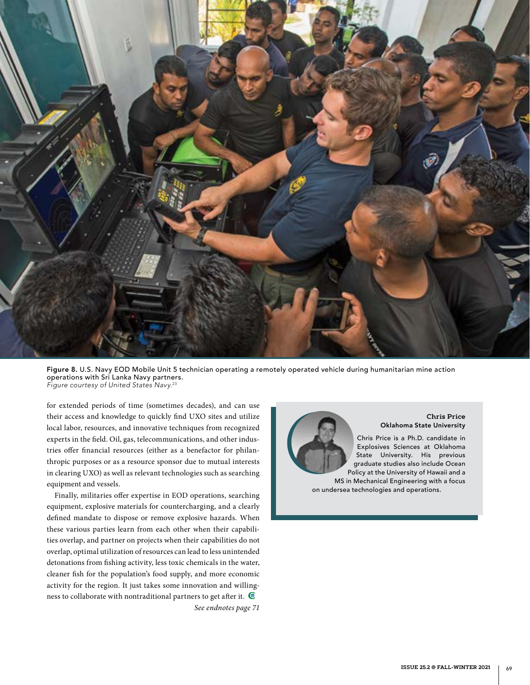

Figure 8. U.S. Navy EOD Mobile Unit 5 technician operating a remotely operated vehicle during humanitarian mine action operations with Sri Lanka Navy partners. *Figure courtesy of United States Navy.*<sup>23</sup>

for extended periods of time (sometimes decades), and can use their access and knowledge to quickly find UXO sites and utilize local labor, resources, and innovative techniques from recognized experts in the field. Oil, gas, telecommunications, and other industries offer financial resources (either as a benefactor for philanthropic purposes or as a resource sponsor due to mutual interests in clearing UXO) as well as relevant technologies such as searching equipment and vessels.

Finally, militaries offer expertise in EOD operations, searching equipment, explosive materials for countercharging, and a clearly defined mandate to dispose or remove explosive hazards. When these various parties learn from each other when their capabilities overlap, and partner on projects when their capabilities do not overlap, optimal utilization of resources can lead to less unintended detonations from fishing activity, less toxic chemicals in the water, cleaner fish for the population's food supply, and more economic activity for the region. It just takes some innovation and willingness to collaborate with nontraditional partners to get after it. *See endnotes page 71*



**ISSUE 25.2 @ FALL-WINTER 2021** | 69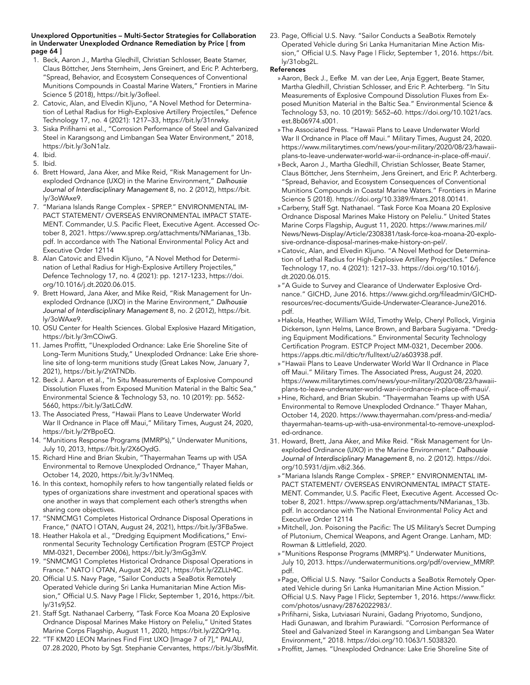#### Unexplored Opportunities – Multi-Sector Strategies for Collaboration in Underwater Unexploded Ordnance Remediation by Price [ from page 64 ]

- 1. Beck, Aaron J., Martha Gledhill, Christian Schlosser, Beate Stamer, Claus Böttcher, Jens Sternheim, Jens Greinert, and Eric P. Achterberg, "Spread, Behavior, and Ecosystem Consequences of Conventional Munitions Compounds in Coastal Marine Waters," Frontiers in Marine Science 5 (2018), https://bit.ly/3ofleel.
- 2. Catovic, Alan, and Elvedin Kljuno, "A Novel Method for Determination of Lethal Radius for High-Explosive Artillery Projectiles," Defence Technology 17, no. 4 (2021): 1217–33, https://bit.ly/31nrwky.
- 3. Siska Prifiharni et al., "Corrosion Performance of Steel and Galvanized Steel in Karangsong and Limbangan Sea Water Environment," 2018, https://bit.ly/3oN1alz.
- 4. Ibid.
- 5. Ibid.
- 6. Brett Howard, Jana Aker, and Mike Reid, "Risk Management for Unexploded Ordnance (UXO) in the Marine Environment," *Dalhousie Journal of Interdisciplinary Management* 8, no. 2 (2012), https://bit. ly/3oWAxe9.
- 7. "Mariana Islands Range Complex SPREP." ENVIRONMENTAL IM-PACT STATEMENT/ OVERSEAS ENVIRONMENTAL IMPACT STATE-MENT. Commander, U.S. Pacific Fleet, Executive Agent. Accessed October 8, 2021. https://www.sprep.org/attachments/NMarianas\_13b. pdf. In accordance with The National Environmental Policy Act and Executive Order 12114
- 8. Alan Catovic and Elvedin Kljuno, "A Novel Method for Determination of Lethal Radius for High-Explosive Artillery Projectiles," Defence Technology 17, no. 4 (2021): pp. 1217-1233, https://doi. org/10.1016/j.dt.2020.06.015.
- 9. Brett Howard, Jana Aker, and Mike Reid, "Risk Management for Unexploded Ordnance (UXO) in the Marine Environment," *Dalhousie Journal of Interdisciplinary Management* 8, no. 2 (2012), https://bit. ly/3oWAxe9.
- 10. OSU Center for Health Sciences. Global Explosive Hazard Mitigation, https://bit.ly/3mCOiwG.
- 11. James Proffitt, "Unexploded Ordnance: Lake Erie Shoreline Site of Long-Term Munitions Study," Unexploded Ordnance: Lake Erie shoreline site of long-term munitions study (Great Lakes Now, January 7, 2021), https://bit.ly/2YATNDb.
- 12. Beck J. Aaron et al., "In Situ Measurements of Explosive Compound Dissolution Fluxes from Exposed Munition Material in the Baltic Sea," Environmental Science & Technology 53, no. 10 (2019): pp. 5652- 5660, https://bit.ly/3atLCdW.
- 13. The Associated Press, "Hawaii Plans to Leave Underwater World War II Ordnance in Place off Maui," Military Times, August 24, 2020, https://bit.ly/2YBpoEQ.
- 14. "Munitions Response Programs (MMRP's)," Underwater Munitions, July 10, 2013, https://bit.ly/2X6OydG.
- 15. Richard Hine and Brian Skubin, "Thayermahan Teams up with USA Environmental to Remove Unexploded Ordnance," Thayer Mahan, October 14, 2020, https://bit.ly/3v1NMeq.
- 16. In this context, homophily refers to how tangentially related fields or types of organizations share investment and operational spaces with one another in ways that complement each other's strengths when sharing core objectives.
- 17. "SNMCMG1 Completes Historical Ordnance Disposal Operations in France," (NATO | OTAN, August 24, 2021), https://bit.ly/3FBa5we.
- 18. Heather Hakola et al., "Dredging Equipment Modifications," Environmental Security Technology Certification Program (ESTCP Project MM-0321, December 2006), https://bit.ly/3mGg3mV.
- 19. "SNMCMG1 Completes Historical Ordnance Disposal Operations in France." NATO | OTAN, August 24, 2021, https://bit.ly/2ZLLh4C.
- 20. Official U.S. Navy Page, "Sailor Conducts a SeaBotix Remotely Operated Vehicle during Sri Lanka Humanitarian Mine Action Mission," Official U.S. Navy Page | Flickr, September 1, 2016, https://bit. ly/31s9j52.
- 21. Staff Sgt. Nathanael Carberry, "Task Force Koa Moana 20 Explosive Ordnance Disposal Marines Make History on Peleliu," United States Marine Corps Flagship, August 11, 2020, https://bit.ly/2ZQr91q.
- 22. "TF KM20 LEON Marines Find First UXO [Image 7 of 7]," PALAU, 07.28.2020, Photo by Sgt. Stephanie Cervantes, https://bit.ly/3bsfMit.

23. Page, Official U.S. Navy. "Sailor Conducts a SeaBotix Remotely Operated Vehicle during Sri Lanka Humanitarian Mine Action Mission," Official U.S. Navy Page | Flickr, September 1, 2016. https://bit. ly/31obg2L.

#### References

- »Aaron, Beck J., Eefke M. van der Lee, Anja Eggert, Beate Stamer, Martha Gledhill, Christian Schlosser, and Eric P. Achterberg. "In Situ Measurements of Explosive Compound Dissolution Fluxes from Exposed Munition Material in the Baltic Sea." Environmental Science & Technology 53, no. 10 (2019): 5652–60. https://doi.org/10.1021/acs. est.8b06974.s001.
- »The Associated Press. "Hawaii Plans to Leave Underwater World War II Ordnance in Place off Maui." Military Times, August 24, 2020. https://www.militarytimes.com/news/your-military/2020/08/23/hawaiiplans-to-leave-underwater-world-war-ii-ordnance-in-place-off-maui/.
- »Beck, Aaron J., Martha Gledhill, Christian Schlosser, Beate Stamer, Claus Böttcher, Jens Sternheim, Jens Greinert, and Eric P. Achterberg. "Spread, Behavior, and Ecosystem Consequences of Conventional Munitions Compounds in Coastal Marine Waters." Frontiers in Marine Science 5 (2018). https://doi.org/10.3389/fmars.2018.00141.
- » Carberry, Staff Sgt. Nathanael. "Task Force Koa Moana 20 Explosive Ordnance Disposal Marines Make History on Peleliu." United States Marine Corps Flagship, August 11, 2020. https://www.marines.mil/ News/News-Display/Article/2308381/task-force-koa-moana-20-explosive-ordnance-disposal-marines-make-history-on-pel/.
- » Catovic, Alan, and Elvedin Kljuno. "A Novel Method for Determination of Lethal Radius for High-Explosive Artillery Projectiles." Defence Technology 17, no. 4 (2021): 1217–33. https://doi.org/10.1016/j. dt.2020.06.015.
- » "A Guide to Survey and Clearance of Underwater Explosive Ordnance." GICHD, June 2016. https://www.gichd.org/fileadmin/GICHDresources/rec-documents/Guide-Underwater-Clearance-June2016. pdf.
- »Hakola, Heather, William Wild, Timothy Welp, Cheryl Pollock, Virginia Dickerson, Lynn Helms, Lance Brown, and Barbara Sugiyama. "Dredging Equipment Modifications." Environmental Security Technology Certification Program. ESTCP Project MM-0321, December 2006. https://apps.dtic.mil/dtic/tr/fulltext/u2/a603938.pdf.
- » "Hawaii Plans to Leave Underwater World War II Ordnance in Place off Maui." Military Times. The Associated Press, August 24, 2020. https://www.militarytimes.com/news/your-military/2020/08/23/hawaiiplans-to-leave-underwater-world-war-ii-ordnance-in-place-off-maui/.
- »Hine, Richard, and Brian Skubin. "Thayermahan Teams up with USA Environmental to Remove Unexploded Ordnance." Thayer Mahan, October 14, 2020. https://www.thayermahan.com/press-and-media/ thayermahan-teams-up-with-usa-environmental-to-remove-unexploded-ordnance.
- 31. Howard, Brett, Jana Aker, and Mike Reid. "Risk Management for Unexploded Ordinance (UXO) in the Marine Environment." *Dalhousie Journal of Interdisciplinary Management* 8, no. 2 (2012). https://doi. org/10.5931/djim.v8i2.366.
	- » "Mariana Islands Range Complex SPREP." ENVIRONMENTAL IM-PACT STATEMENT/ OVERSEAS ENVIRONMENTAL IMPACT STATE-MENT. Commander, U.S. Pacific Fleet, Executive Agent. Accessed October 8, 2021. https://www.sprep.org/attachments/NMarianas\_13b. pdf. In accordance with The National Environmental Policy Act and Executive Order 12114
	- »Mitchell, Jon. Poisoning the Pacific: The US Military's Secret Dumping of Plutonium, Chemical Weapons, and Agent Orange. Lanham, MD: Rowman & Littlefield, 2020.
	- » "Munitions Response Programs (MMRP's)." Underwater Munitions, July 10, 2013. https://underwatermunitions.org/pdf/overview\_MMRP. pdf.
	- »Page, Official U.S. Navy. "Sailor Conducts a SeaBotix Remotely Operated Vehicle during Sri Lanka Humanitarian Mine Action Mission." Official U.S. Navy Page | Flickr, September 1, 2016. https://www.flickr. com/photos/usnavy/28762022983/.
	- »Prifiharni, Siska, Lutviasari Nuraini, Gadang Priyotomo, Sundjono, Hadi Gunawan, and Ibrahim Purawiardi. "Corrosion Performance of Steel and Galvanized Steel in Karangsong and Limbangan Sea Water Environment," 2018. https://doi.org/10.1063/1.5038320.
	- »Proffitt, James. "Unexploded Ordnance: Lake Erie Shoreline Site of